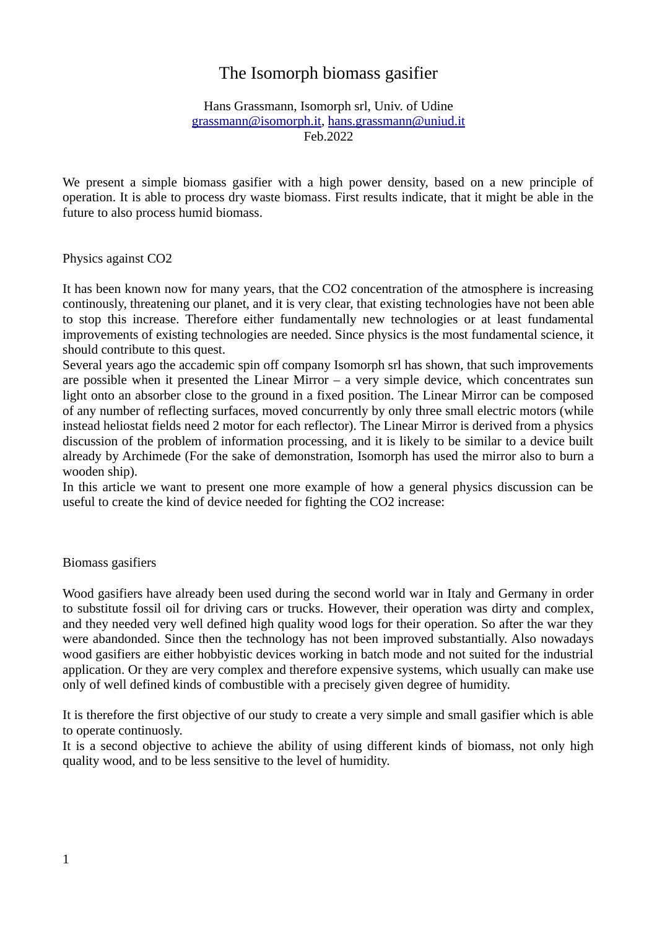# The Isomorph biomass gasifier

### Hans Grassmann, Isomorph srl, Univ. of Udine [grassmann@isomorph.it](mailto:grassmann@isomorph.it), [hans.grassmann@uniud.it](mailto:hans.grassmann@uniud.it) Feb.2022

We present a simple biomass gasifier with a high power density, based on a new principle of operation. It is able to process dry waste biomass. First results indicate, that it might be able in the future to also process humid biomass.

Physics against CO2

It has been known now for many years, that the CO2 concentration of the atmosphere is increasing continously, threatening our planet, and it is very clear, that existing technologies have not been able to stop this increase. Therefore either fundamentally new technologies or at least fundamental improvements of existing technologies are needed. Since physics is the most fundamental science, it should contribute to this quest.

Several years ago the accademic spin off company Isomorph srl has shown, that such improvements are possible when it presented the Linear Mirror  $-$  a very simple device, which concentrates sun light onto an absorber close to the ground in a fixed position. The Linear Mirror can be composed of any number of reflecting surfaces, moved concurrently by only three small electric motors (while instead heliostat fields need 2 motor for each reflector). The Linear Mirror is derived from a physics discussion of the problem of information processing, and it is likely to be similar to a device built already by Archimede (For the sake of demonstration, Isomorph has used the mirror also to burn a wooden ship).

In this article we want to present one more example of how a general physics discussion can be useful to create the kind of device needed for fighting the CO2 increase:

## Biomass gasifiers

Wood gasifiers have already been used during the second world war in Italy and Germany in order to substitute fossil oil for driving cars or trucks. However, their operation was dirty and complex, and they needed very well defined high quality wood logs for their operation. So after the war they were abandonded. Since then the technology has not been improved substantially. Also nowadays wood gasifiers are either hobbyistic devices working in batch mode and not suited for the industrial application. Or they are very complex and therefore expensive systems, which usually can make use only of well defined kinds of combustible with a precisely given degree of humidity.

It is therefore the first objective of our study to create a very simple and small gasifier which is able to operate continuosly.

It is a second objective to achieve the ability of using different kinds of biomass, not only high quality wood, and to be less sensitive to the level of humidity.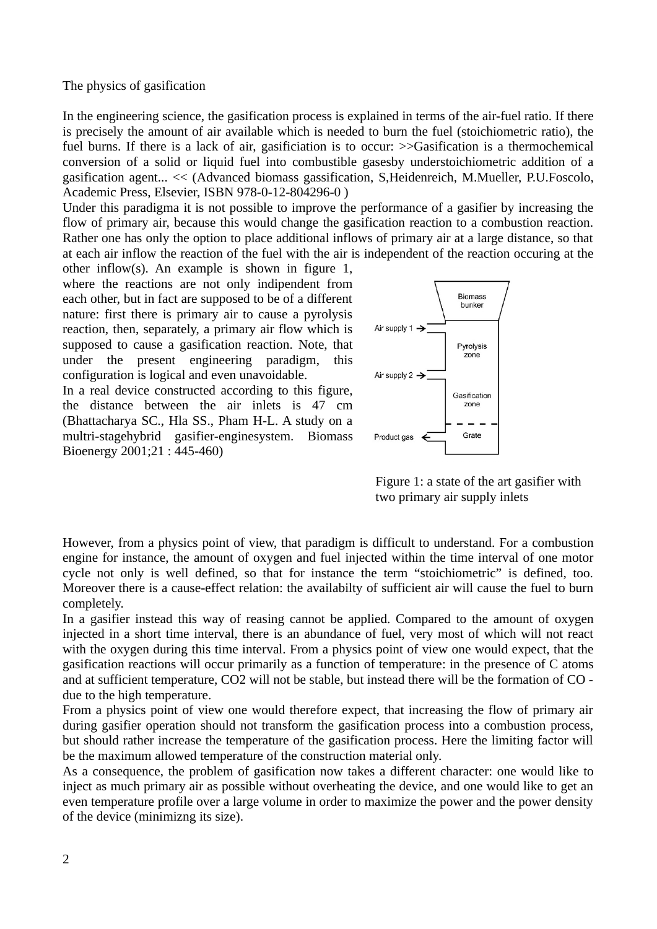#### The physics of gasification

In the engineering science, the gasification process is explained in terms of the air-fuel ratio. If there is precisely the amount of air available which is needed to burn the fuel (stoichiometric ratio), the fuel burns. If there is a lack of air, gasificiation is to occur:  $\geq$ Gasification is a thermochemical conversion of a solid or liquid fuel into combustible gasesby understoichiometric addition of a gasification agent... << (Advanced biomass gassification, S,Heidenreich, M.Mueller, P.U.Foscolo, Academic Press, Elsevier, ISBN 978-0-12-804296-0 )

Under this paradigma it is not possible to improve the performance of a gasifier by increasing the flow of primary air, because this would change the gasification reaction to a combustion reaction. Rather one has only the option to place additional inflows of primary air at a large distance, so that at each air inflow the reaction of the fuel with the air is independent of the reaction occuring at the

other inflow(s). An example is shown in figure 1, where the reactions are not only indipendent from each other, but in fact are supposed to be of a different nature: first there is primary air to cause a pyrolysis reaction, then, separately, a primary air flow which is supposed to cause a gasification reaction. Note, that under the present engineering paradigm, this configuration is logical and even unavoidable.

In a real device constructed according to this figure, the distance between the air inlets is 47 cm (Bhattacharya SC., Hla SS., Pham H-L. A study on a multri-stagehybrid gasifier-enginesystem. Biomass Bioenergy 2001;21 : 445-460)



Figure 1: a state of the art gasifier with two primary air supply inlets

However, from a physics point of view, that paradigm is difficult to understand. For a combustion engine for instance, the amount of oxygen and fuel injected within the time interval of one motor cycle not only is well defined, so that for instance the term "stoichiometric" is defined, too. Moreover there is a cause-effect relation: the availabilty of sufficient air will cause the fuel to burn completely.

In a gasifier instead this way of reasing cannot be applied. Compared to the amount of oxygen injected in a short time interval, there is an abundance of fuel, very most of which will not react with the oxygen during this time interval. From a physics point of view one would expect, that the gasification reactions will occur primarily as a function of temperature: in the presence of C atoms and at sufficient temperature, CO2 will not be stable, but instead there will be the formation of CO due to the high temperature.

From a physics point of view one would therefore expect, that increasing the flow of primary air during gasifier operation should not transform the gasification process into a combustion process, but should rather increase the temperature of the gasification process. Here the limiting factor will be the maximum allowed temperature of the construction material only.

As a consequence, the problem of gasification now takes a different character: one would like to inject as much primary air as possible without overheating the device, and one would like to get an even temperature profile over a large volume in order to maximize the power and the power density of the device (minimizng its size).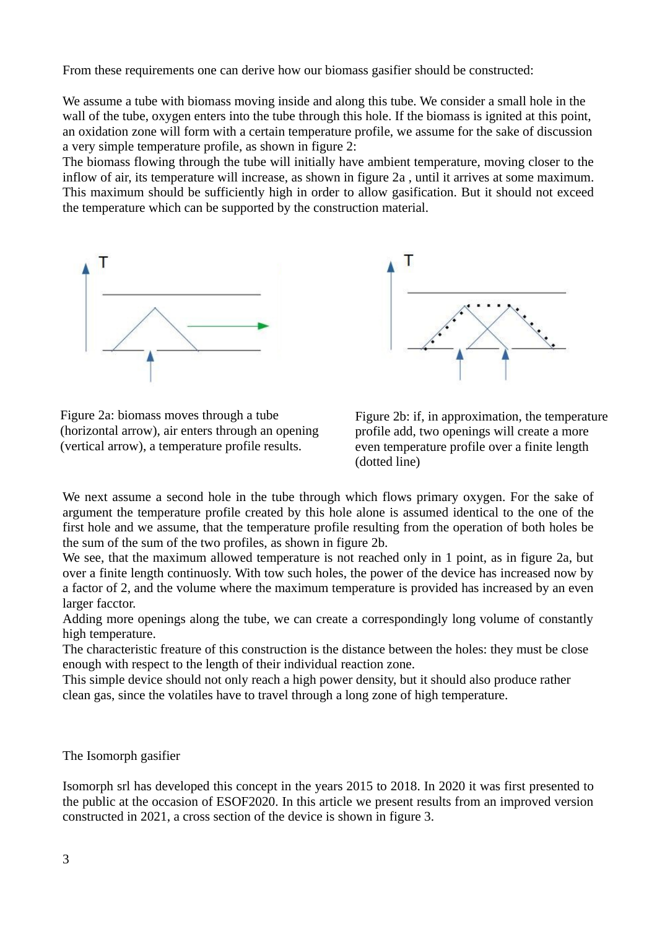From these requirements one can derive how our biomass gasifier should be constructed:

We assume a tube with biomass moving inside and along this tube. We consider a small hole in the wall of the tube, oxygen enters into the tube through this hole. If the biomass is ignited at this point, an oxidation zone will form with a certain temperature profile, we assume for the sake of discussion a very simple temperature profile, as shown in figure 2:

The biomass flowing through the tube will initially have ambient temperature, moving closer to the inflow of air, its temperature will increase, as shown in figure 2a , until it arrives at some maximum. This maximum should be sufficiently high in order to allow gasification. But it should not exceed the temperature which can be supported by the construction material.





Figure 2a: biomass moves through a tube (horizontal arrow), air enters through an opening (vertical arrow), a temperature profile results.

Figure 2b: if, in approximation, the temperature profile add, two openings will create a more even temperature profile over a finite length (dotted line)

We next assume a second hole in the tube through which flows primary oxygen. For the sake of argument the temperature profile created by this hole alone is assumed identical to the one of the first hole and we assume, that the temperature profile resulting from the operation of both holes be the sum of the sum of the two profiles, as shown in figure 2b.

We see, that the maximum allowed temperature is not reached only in 1 point, as in figure 2a, but over a finite length continuosly. With tow such holes, the power of the device has increased now by a factor of 2, and the volume where the maximum temperature is provided has increased by an even larger facctor.

Adding more openings along the tube, we can create a correspondingly long volume of constantly high temperature.

The characteristic freature of this construction is the distance between the holes: they must be close enough with respect to the length of their individual reaction zone.

This simple device should not only reach a high power density, but it should also produce rather clean gas, since the volatiles have to travel through a long zone of high temperature.

The Isomorph gasifier

Isomorph srl has developed this concept in the years 2015 to 2018. In 2020 it was first presented to the public at the occasion of ESOF2020. In this article we present results from an improved version constructed in 2021, a cross section of the device is shown in figure 3.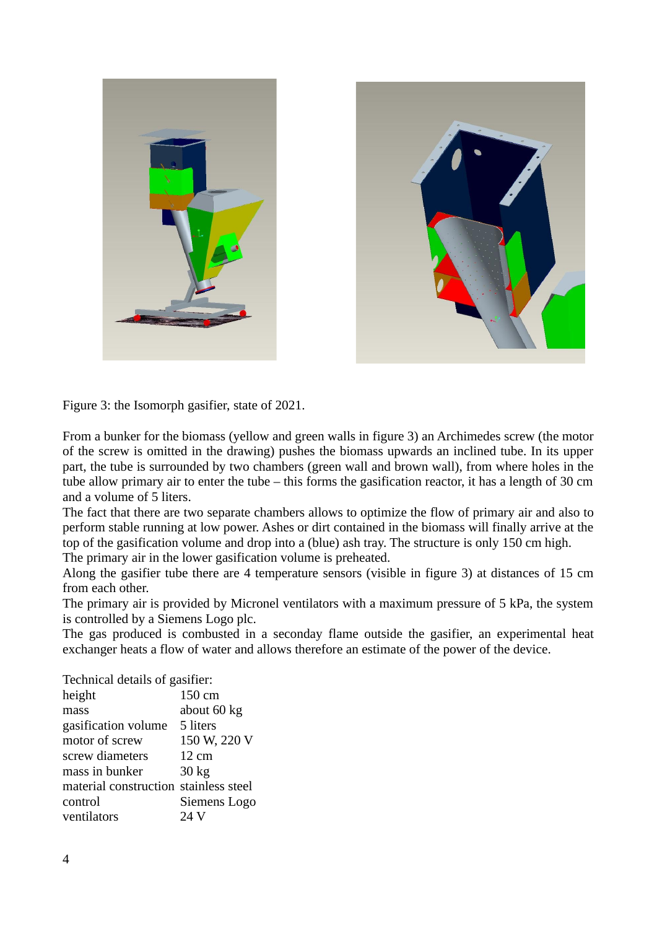

Figure 3: the Isomorph gasifier, state of 2021.

From a bunker for the biomass (yellow and green walls in figure 3) an Archimedes screw (the motor of the screw is omitted in the drawing) pushes the biomass upwards an inclined tube. In its upper part, the tube is surrounded by two chambers (green wall and brown wall), from where holes in the tube allow primary air to enter the tube – this forms the gasification reactor, it has a length of 30 cm and a volume of 5 liters.

The fact that there are two separate chambers allows to optimize the flow of primary air and also to perform stable running at low power. Ashes or dirt contained in the biomass will finally arrive at the top of the gasification volume and drop into a (blue) ash tray. The structure is only 150 cm high. The primary air in the lower gasification volume is preheated.

Along the gasifier tube there are 4 temperature sensors (visible in figure 3) at distances of 15 cm from each other.

The primary air is provided by Micronel ventilators with a maximum pressure of 5 kPa, the system is controlled by a Siemens Logo plc.

The gas produced is combusted in a seconday flame outside the gasifier, an experimental heat exchanger heats a flow of water and allows therefore an estimate of the power of the device.

| Technical details of gasifier:        |                  |
|---------------------------------------|------------------|
| height                                | 150 cm           |
| mass                                  | about 60 kg      |
| gasification volume                   | 5 liters         |
| motor of screw                        | 150 W, 220 V     |
| screw diameters                       | $12 \text{ cm}$  |
| mass in bunker                        | 30 <sub>kg</sub> |
| material construction stainless steel |                  |
| control                               | Siemens Logo     |
| ventilators                           | 24 V             |
|                                       |                  |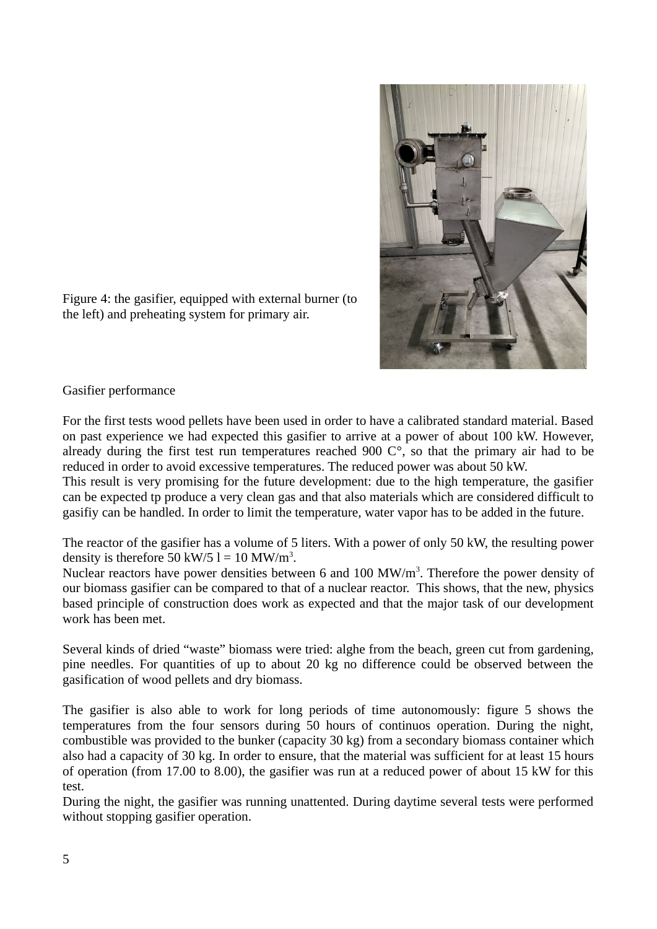

Figure 4: the gasifier, equipped with external burner (to the left) and preheating system for primary air.

# Gasifier performance

For the first tests wood pellets have been used in order to have a calibrated standard material. Based on past experience we had expected this gasifier to arrive at a power of about 100 kW. However, already during the first test run temperatures reached 900 C°, so that the primary air had to be reduced in order to avoid excessive temperatures. The reduced power was about 50 kW.

This result is very promising for the future development: due to the high temperature, the gasifier can be expected tp produce a very clean gas and that also materials which are considered difficult to gasifiy can be handled. In order to limit the temperature, water vapor has to be added in the future.

The reactor of the gasifier has a volume of 5 liters. With a power of only 50 kW, the resulting power density is therefore 50 kW/5  $l = 10$  MW/m<sup>3</sup>.

Nuclear reactors have power densities between 6 and  $100$  MW/m<sup>3</sup>. Therefore the power density of our biomass gasifier can be compared to that of a nuclear reactor. This shows, that the new, physics based principle of construction does work as expected and that the major task of our development work has been met.

Several kinds of dried "waste" biomass were tried: alghe from the beach, green cut from gardening, pine needles. For quantities of up to about 20 kg no difference could be observed between the gasification of wood pellets and dry biomass.

The gasifier is also able to work for long periods of time autonomously: figure 5 shows the temperatures from the four sensors during 50 hours of continuos operation. During the night, combustible was provided to the bunker (capacity 30 kg) from a secondary biomass container which also had a capacity of 30 kg. In order to ensure, that the material was sufficient for at least 15 hours of operation (from 17.00 to 8.00), the gasifier was run at a reduced power of about 15 kW for this test.

During the night, the gasifier was running unattented. During daytime several tests were performed without stopping gasifier operation.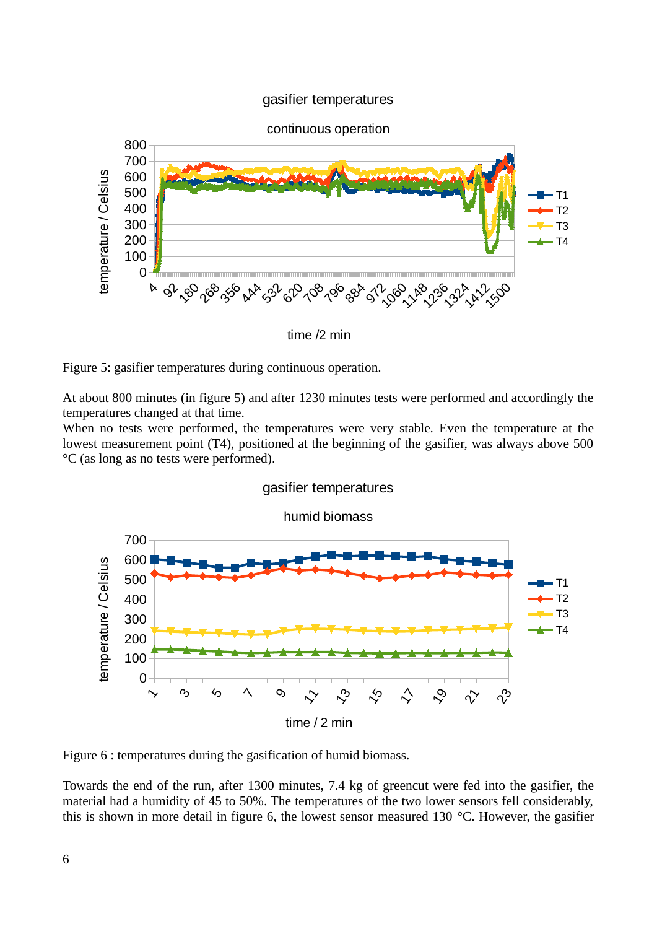# gasifier temperatures



time /2 min

Figure 5: gasifier temperatures during continuous operation.

At about 800 minutes (in figure 5) and after 1230 minutes tests were performed and accordingly the temperatures changed at that time.

When no tests were performed, the temperatures were very stable. Even the temperature at the lowest measurement point (T4), positioned at the beginning of the gasifier, was always above 500 °C (as long as no tests were performed).



gasifier temperatures

Figure 6 : temperatures during the gasification of humid biomass.

Towards the end of the run, after 1300 minutes, 7.4 kg of greencut were fed into the gasifier, the material had a humidity of 45 to 50%. The temperatures of the two lower sensors fell considerably, this is shown in more detail in figure 6, the lowest sensor measured 130 °C. However, the gasifier